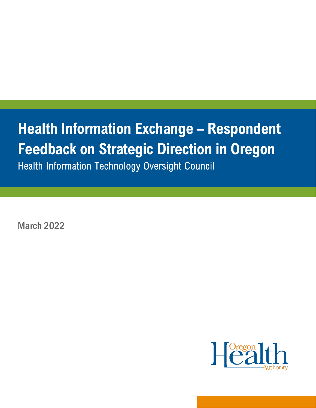# **Health Information Exchange – Respondent Feedback on Strategic Direction in Oregon**

Health Information Technology Oversight Council

March 2022

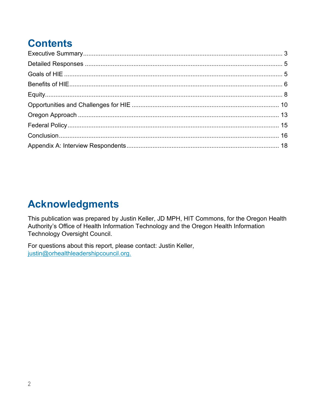# **Contents**

# **Acknowledgments**

This publication was prepared by Justin Keller, JD MPH, HIT Commons, for the Oregon Health Authority's Office of Health Information Technology and the Oregon Health Information Technology Oversight Council.

For questions about this report, please contact: Justin Keller, justin@orhealthleadershipcouncil.org.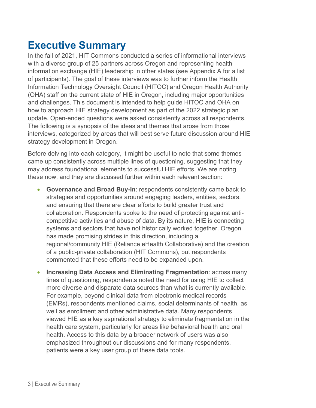### <span id="page-2-0"></span>**Executive Summary**

In the fall of 2021, HIT Commons conducted a series of informational interviews with a diverse group of 25 partners across Oregon and representing health information exchange (HIE) leadership in other states (see Appendix A for a list of participants). The goal of these interviews was to further inform the Health Information Technology Oversight Council (HITOC) and Oregon Health Authority (OHA) staff on the current state of HIE in Oregon, including major opportunities and challenges. This document is intended to help guide HITOC and OHA on how to approach HIE strategy development as part of the 2022 strategic plan update. Open-ended questions were asked consistently across all respondents. The following is a synopsis of the ideas and themes that arose from those interviews, categorized by areas that will best serve future discussion around HIE strategy development in Oregon.

Before delving into each category, it might be useful to note that some themes came up consistently across multiple lines of questioning, suggesting that they may address foundational elements to successful HIE efforts. We are noting these now, and they are discussed further within each relevant section:

- **Governance and Broad Buy-In**: respondents consistently came back to strategies and opportunities around engaging leaders, entities, sectors, and ensuring that there are clear efforts to build greater trust and collaboration. Respondents spoke to the need of protecting against anticompetitive activities and abuse of data. By its nature, HIE is connecting systems and sectors that have not historically worked together. Oregon has made promising strides in this direction, including a regional/community HIE (Reliance eHealth Collaborative) and the creation of a public-private collaboration (HIT Commons), but respondents commented that these efforts need to be expanded upon.
- **Increasing Data Access and Eliminating Fragmentation**: across many lines of questioning, respondents noted the need for using HIE to collect more diverse and disparate data sources than what is currently available. For example, beyond clinical data from electronic medical records (EMRs), respondents mentioned claims, social determinants of health, as well as enrollment and other administrative data. Many respondents viewed HIE as a key aspirational strategy to eliminate fragmentation in the health care system, particularly for areas like behavioral health and oral health. Access to this data by a broader network of users was also emphasized throughout our discussions and for many respondents, patients were a key user group of these data tools.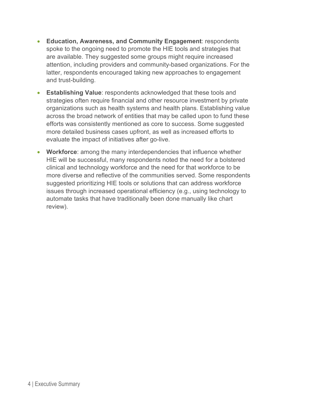- **Education, Awareness, and Community Engagement**: respondents spoke to the ongoing need to promote the HIE tools and strategies that are available. They suggested some groups might require increased attention, including providers and community-based organizations. For the latter, respondents encouraged taking new approaches to engagement and trust-building.
- **Establishing Value**: respondents acknowledged that these tools and strategies often require financial and other resource investment by private organizations such as health systems and health plans. Establishing value across the broad network of entities that may be called upon to fund these efforts was consistently mentioned as core to success. Some suggested more detailed business cases upfront, as well as increased efforts to evaluate the impact of initiatives after go-live.
- **Workforce**: among the many interdependencies that influence whether HIE will be successful, many respondents noted the need for a bolstered clinical and technology workforce and the need for that workforce to be more diverse and reflective of the communities served. Some respondents suggested prioritizing HIE tools or solutions that can address workforce issues through increased operational efficiency (e.g., using technology to automate tasks that have traditionally been done manually like chart review).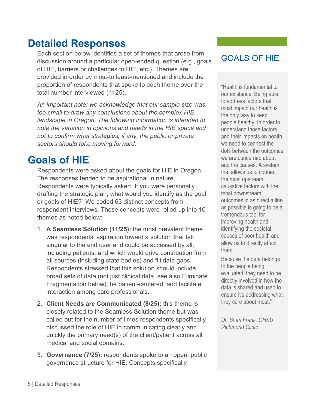### **Detailed Responses**

<span id="page-4-0"></span>Each section below identifies a set of themes that arose from discussion around a particular open-ended question (e.g., goals of HIE, barriers or challenges to HIE, etc.). Themes are provided in order by most-to least-mentioned and include the proportion of respondents that spoke to each theme over the total number interviewed (n=25).

*An important note: we acknowledge that our sample size was too small to draw any conclusions about the complex HIE landscape in Oregon. The following information is intended to note the variation in opinions and needs in the HIE space and not to confirm what strategies, if any, the public or private sectors should take moving forward.*

### <span id="page-4-1"></span>**Goals of HIE**

Respondents were asked about the goals for HIE in Oregon. The responses tended to be aspirational in nature. Respondents were typically asked "If you were personally drafting the strategic plan, what would you identify as the goal or goals of HIE?" We coded 63 distinct concepts from respondent interviews. These concepts were rolled up into 10 themes as noted below:

- 1. **A Seamless Solution (11/25):** the most prevalent theme was respondents' aspiration toward a solution that felt singular to the end user and could be accessed by all, including patients, and which would drive contribution from all sources (including state bodies) and fill data gaps. Respondents stressed that this solution should include broad sets of data (not just clinical data, see also Eliminate Fragmentation below), be patient-centered, and facilitate interaction among care professionals.
- 2. **Client Needs are Communicated (8/25):** this theme is closely related to the Seamless Solution theme but was called out for the number of times respondents specifically discussed the role of HIE in communicating clearly and quickly the primary need(s) of the client/patient across all medical and social domains.
- 3. **Governance (7/25):** respondents spoke to an open, public governance structure for HIE. Concepts specifically

#### GOALS OF HIE

"Health is fundamental to our existence. Being able to address factors that most impact our health is the only way to keep people healthy. In order to understand those factors and their impacts on health, we need to connect the dots between the outcomes we are concerned about and the causes. A system that allows us to connect the most upstream causative factors with the most downstream outcomes in as direct a line as possible is going to be a tremendous tool for improving health and identifying the societal causes of poor health and allow us to directly affect them.

Because the data belongs to the people being evaluated, they need to be directly involved in how the data is shared and used to ensure it's addressing what they care about most."

*Dr. Brian Frank, OHSU Richmond Clinic*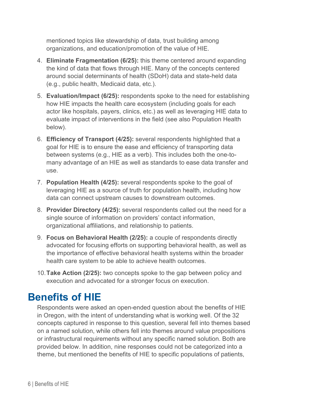mentioned topics like stewardship of data, trust building among organizations, and education/promotion of the value of HIE.

- 4. **Eliminate Fragmentation (6/25):** this theme centered around expanding the kind of data that flows through HIE. Many of the concepts centered around social determinants of health (SDoH) data and state-held data (e.g., public health, Medicaid data, etc.).
- 5. **Evaluation/Impact (6/25):** respondents spoke to the need for establishing how HIE impacts the health care ecosystem (including goals for each actor like hospitals, payers, clinics, etc.) as well as leveraging HIE data to evaluate impact of interventions in the field (see also Population Health below).
- 6. **Efficiency of Transport (4/25):** several respondents highlighted that a goal for HIE is to ensure the ease and efficiency of transporting data between systems (e.g., HIE as a verb). This includes both the one-tomany advantage of an HIE as well as standards to ease data transfer and use.
- 7. **Population Health (4/25):** several respondents spoke to the goal of leveraging HIE as a source of truth for population health, including how data can connect upstream causes to downstream outcomes.
- 8. **Provider Directory (4/25):** several respondents called out the need for a single source of information on providers' contact information, organizational affiliations, and relationship to patients.
- 9. **Focus on Behavioral Health (2/25):** a couple of respondents directly advocated for focusing efforts on supporting behavioral health, as well as the importance of effective behavioral health systems within the broader health care system to be able to achieve health outcomes.
- 10.**Take Action (2/25):** two concepts spoke to the gap between policy and execution and advocated for a stronger focus on execution.

## <span id="page-5-0"></span>**Benefits of HIE**

Respondents were asked an open-ended question about the benefits of HIE in Oregon, with the intent of understanding what is working well. Of the 32 concepts captured in response to this question, several fell into themes based on a named solution, while others fell into themes around value propositions or infrastructural requirements without any specific named solution. Both are provided below. In addition, nine responses could not be categorized into a theme, but mentioned the benefits of HIE to specific populations of patients,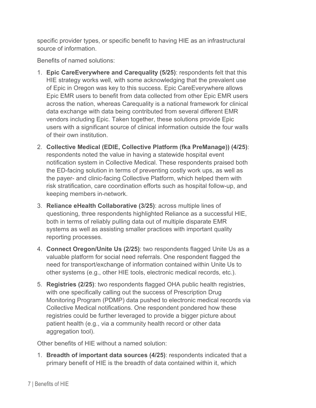specific provider types, or specific benefit to having HIE as an infrastructural source of information.

Benefits of named solutions:

- 1. **Epic CareEverywhere and Carequality (5/25)**: respondents felt that this HIE strategy works well, with some acknowledging that the prevalent use of Epic in Oregon was key to this success. Epic CareEverywhere allows Epic EMR users to benefit from data collected from other Epic EMR users across the nation, whereas Carequality is a national framework for clinical data exchange with data being contributed from several different EMR vendors including Epic. Taken together, these solutions provide Epic users with a significant source of clinical information outside the four walls of their own institution.
- 2. **Collective Medical (EDIE, Collective Platform (fka PreManage)) (4/25)**: respondents noted the value in having a statewide hospital event notification system in Collective Medical. These respondents praised both the ED-facing solution in terms of preventing costly work ups, as well as the payer- and clinic-facing Collective Platform, which helped them with risk stratification, care coordination efforts such as hospital follow-up, and keeping members in-network.
- 3. **Reliance eHealth Collaborative (3/25)**: across multiple lines of questioning, three respondents highlighted Reliance as a successful HIE, both in terms of reliably pulling data out of multiple disparate EMR systems as well as assisting smaller practices with important quality reporting processes.
- 4. **Connect Oregon/Unite Us (2/25)**: two respondents flagged Unite Us as a valuable platform for social need referrals. One respondent flagged the need for transport/exchange of information contained within Unite Us to other systems (e.g., other HIE tools, electronic medical records, etc.).
- 5. **Registries (2/25)**: two respondents flagged OHA public health registries, with one specifically calling out the success of Prescription Drug Monitoring Program (PDMP) data pushed to electronic medical records via Collective Medical notifications. One respondent pondered how these registries could be further leveraged to provide a bigger picture about patient health (e.g., via a community health record or other data aggregation tool).

Other benefits of HIE without a named solution:

1. **Breadth of important data sources (4/25)**: respondents indicated that a primary benefit of HIE is the breadth of data contained within it, which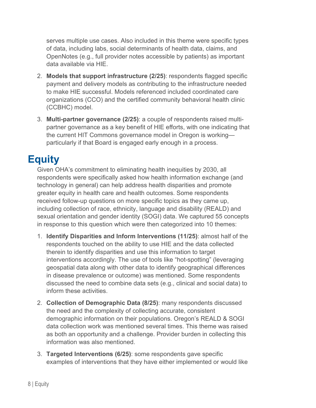serves multiple use cases. Also included in this theme were specific types of data, including labs, social determinants of health data, claims, and OpenNotes (e.g., full provider notes accessible by patients) as important data available via HIE.

- 2. **Models that support infrastructure (2/25)**: respondents flagged specific payment and delivery models as contributing to the infrastructure needed to make HIE successful. Models referenced included coordinated care organizations (CCO) and the certified community behavioral health clinic (CCBHC) model.
- 3. **Multi-partner governance (2/25)**: a couple of respondents raised multipartner governance as a key benefit of HIE efforts, with one indicating that the current HIT Commons governance model in Oregon is working particularly if that Board is engaged early enough in a process.

# <span id="page-7-0"></span>**Equity**

Given OHA's commitment to eliminating health inequities by 2030, all respondents were specifically asked how health information exchange (and technology in general) can help address health disparities and promote greater equity in health care and health outcomes. Some respondents received follow-up questions on more specific topics as they came up, including collection of race, ethnicity, language and disability (REALD) and sexual orientation and gender identity (SOGI) data. We captured 55 concepts in response to this question which were then categorized into 10 themes:

- 1. **Identify Disparities and Inform Interventions (11/25)**: almost half of the respondents touched on the ability to use HIE and the data collected therein to identify disparities and use this information to target interventions accordingly. The use of tools like "hot-spotting" (leveraging geospatial data along with other data to identify geographical differences in disease prevalence or outcome) was mentioned. Some respondents discussed the need to combine data sets (e.g., clinical and social data) to inform these activities.
- 2. **Collection of Demographic Data (8/25)**: many respondents discussed the need and the complexity of collecting accurate, consistent demographic information on their populations. Oregon's REALD & SOGI data collection work was mentioned several times. This theme was raised as both an opportunity and a challenge. Provider burden in collecting this information was also mentioned.
- 3. **Targeted Interventions (6/25)**: some respondents gave specific examples of interventions that they have either implemented or would like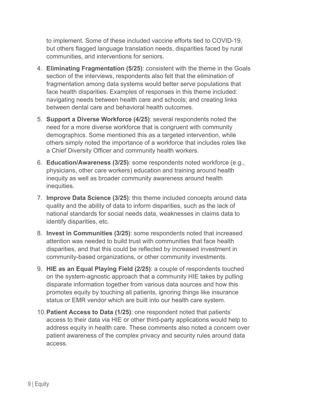to implement. Some of these included vaccine efforts tied to COVID-19, but others flagged language translation needs, disparities faced by rural communities, and interventions for seniors.

- 4. **Eliminating Fragmentation (5/25)**: consistent with the theme in the Goals section of the interviews, respondents also felt that the elimination of fragmentation among data systems would better serve populations that face health disparities. Examples of responses in this theme included: navigating needs between health care and schools; and creating links between dental care and behavioral health outcomes.
- 5. **Support a Diverse Workforce (4/25)**: several respondents noted the need for a more diverse workforce that is congruent with community demographics. Some mentioned this as a targeted intervention, while others simply noted the importance of a workforce that includes roles like a Chief Diversity Officer and community health workers.
- 6. **Education/Awareness (3/25)**: some respondents noted workforce (e.g., physicians, other care workers) education and training around health inequity as well as broader community awareness around health inequities.
- 7. **Improve Data Science (3/25)**: this theme included concepts around data quality and the ability of data to inform disparities, such as the lack of national standards for social needs data, weaknesses in claims data to identify disparities, etc.
- 8. **Invest in Communities (3/25)**: some respondents noted that increased attention was needed to build trust with communities that face health disparities, and that this could be reflected by increased investment in community-based organizations, or other community investments.
- 9. **HIE as an Equal Playing Field (2/25)**: a couple of respondents touched on the system-agnostic approach that a community HIE takes by pulling disparate information together from various data sources and how this promotes equity by touching all patients, ignoring things like insurance status or EMR vendor which are built into our health care system.
- 10.**Patient Access to Data (1/25)**: one respondent noted that patients' access to their data via HIE or other third-party applications would help to address equity in health care. These comments also noted a concern over patient awareness of the complex privacy and security rules around data access.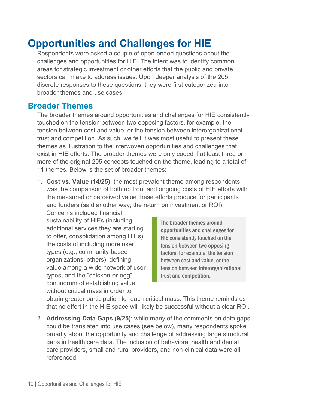### <span id="page-9-0"></span>**Opportunities and Challenges for HIE**

Respondents were asked a couple of open-ended questions about the challenges and opportunities for HIE. The intent was to identify common areas for strategic investment or other efforts that the public and private sectors can make to address issues. Upon deeper analysis of the 205 discrete responses to these questions, they were first categorized into broader themes and use cases.

#### **Broader Themes**

The broader themes around opportunities and challenges for HIE consistently touched on the tension between two opposing factors, for example, the tension between cost and value, or the tension between interorganizational trust and competition. As such, we felt it was most useful to present these themes as illustration to the interwoven opportunities and challenges that exist in HIE efforts. The broader themes were only coded if at least three or more of the original 205 concepts touched on the theme, leading to a total of 11 themes. Below is the set of broader themes:

1. **Cost vs. Value (14/25)**: the most prevalent theme among respondents was the comparison of both up front and ongoing costs of HIE efforts with the measured or perceived value these efforts produce for participants and funders (said another way, the return on investment or ROI).

Concerns included financial sustainability of HIEs (including additional services they are starting to offer, consolidation among HIEs), the costs of including more user types (e.g., community-based organizations, others), defining value among a wide network of user types, and the "chicken-or-egg" conundrum of establishing value without critical mass in order to

The broader themes around opportunities and challenges for HIE consistently touched on the tension between two opposing factors, for example, the tension between cost and value, or the tension between interorganizational trust and competition.

obtain greater participation to reach critical mass. This theme reminds us that no effort in the HIE space will likely be successful without a clear ROI.

2. **Addressing Data Gaps (9/25)**: while many of the comments on data gaps could be translated into use cases (see below), many respondents spoke broadly about the opportunity and challenge of addressing large structural gaps in health care data. The inclusion of behavioral health and dental care providers, small and rural providers, and non-clinical data were all referenced.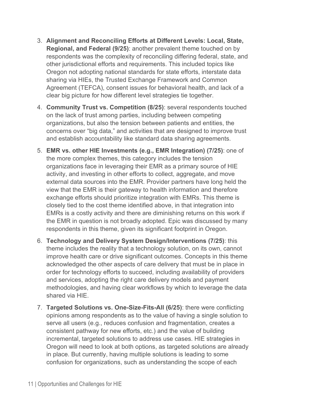- 3. **Alignment and Reconciling Efforts at Different Levels: Local, State, Regional, and Federal (9/25)**: another prevalent theme touched on by respondents was the complexity of reconciling differing federal, state, and other jurisdictional efforts and requirements. This included topics like Oregon not adopting national standards for state efforts, interstate data sharing via HIEs, the Trusted Exchange Framework and Common Agreement (TEFCA), consent issues for behavioral health, and lack of a clear big picture for how different level strategies tie together.
- 4. **Community Trust vs. Competition (8/25)**: several respondents touched on the lack of trust among parties, including between competing organizations, but also the tension between patients and entities, the concerns over "big data," and activities that are designed to improve trust and establish accountability like standard data sharing agreements.
- 5. **EMR vs. other HIE Investments (e.g., EMR Integration) (7/25)**: one of the more complex themes, this category includes the tension organizations face in leveraging their EMR as a primary source of HIE activity, and investing in other efforts to collect, aggregate, and move external data sources into the EMR. Provider partners have long held the view that the EMR is their gateway to health information and therefore exchange efforts should prioritize integration with EMRs. This theme is closely tied to the cost theme identified above, in that integration into EMRs is a costly activity and there are diminishing returns on this work if the EMR in question is not broadly adopted. Epic was discussed by many respondents in this theme, given its significant footprint in Oregon.
- 6. **Technology and Delivery System Design/Interventions (7/25)**: this theme includes the reality that a technology solution, on its own, cannot improve health care or drive significant outcomes. Concepts in this theme acknowledged the other aspects of care delivery that must be in place in order for technology efforts to succeed, including availability of providers and services, adopting the right care delivery models and payment methodologies, and having clear workflows by which to leverage the data shared via HIE.
- 7. **Targeted Solutions vs. One-Size-Fits-All (6/25)**: there were conflicting opinions among respondents as to the value of having a single solution to serve all users (e.g., reduces confusion and fragmentation, creates a consistent pathway for new efforts, etc.) and the value of building incremental, targeted solutions to address use cases. HIE strategies in Oregon will need to look at both options, as targeted solutions are already in place. But currently, having multiple solutions is leading to some confusion for organizations, such as understanding the scope of each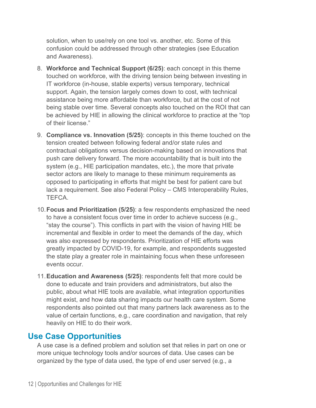solution, when to use/rely on one tool vs. another, etc. Some of this confusion could be addressed through other strategies (see Education and Awareness).

- 8. **Workforce and Technical Support (6/25)**: each concept in this theme touched on workforce, with the driving tension being between investing in IT workforce (in-house, stable experts) versus temporary, technical support. Again, the tension largely comes down to cost, with technical assistance being more affordable than workforce, but at the cost of not being stable over time. Several concepts also touched on the ROI that can be achieved by HIE in allowing the clinical workforce to practice at the "top of their license."
- 9. **Compliance vs. Innovation (5/25)**: concepts in this theme touched on the tension created between following federal and/or state rules and contractual obligations versus decision-making based on innovations that push care delivery forward. The more accountability that is built into the system (e.g., HIE participation mandates, etc.), the more that private sector actors are likely to manage to these minimum requirements as opposed to participating in efforts that might be best for patient care but lack a requirement. See also Federal Policy – CMS Interoperability Rules, TEFCA.
- 10.**Focus and Prioritization (5/25)**: a few respondents emphasized the need to have a consistent focus over time in order to achieve success (e.g., "stay the course"). This conflicts in part with the vision of having HIE be incremental and flexible in order to meet the demands of the day, which was also expressed by respondents. Prioritization of HIE efforts was greatly impacted by COVID-19, for example, and respondents suggested the state play a greater role in maintaining focus when these unforeseen events occur.
- 11.**Education and Awareness (5/25)**: respondents felt that more could be done to educate and train providers and administrators, but also the public, about what HIE tools are available, what integration opportunities might exist, and how data sharing impacts our health care system. Some respondents also pointed out that many partners lack awareness as to the value of certain functions, e.g., care coordination and navigation, that rely heavily on HIE to do their work.

#### **Use Case Opportunities**

A use case is a defined problem and solution set that relies in part on one or more unique technology tools and/or sources of data. Use cases can be organized by the type of data used, the type of end user served (e.g., a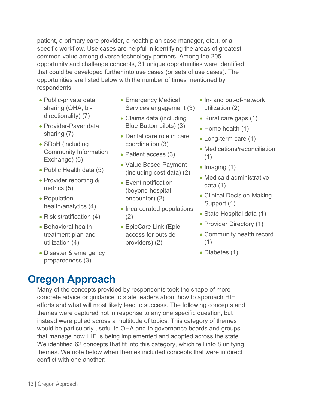patient, a primary care provider, a health plan case manager, etc.), or a specific workflow. Use cases are helpful in identifying the areas of greatest common value among diverse technology partners. Among the 205 opportunity and challenge concepts, 31 unique opportunities were identified that could be developed further into use cases (or sets of use cases). The opportunities are listed below with the number of times mentioned by respondents:

- Public-private data sharing (OHA, bidirectionality) (7)
- Provider-Payer data sharing (7)
- SDoH (including Community Information Exchange) (6)
- Public Health data (5)
- Provider reporting & metrics (5)
- Population health/analytics (4)
- Risk stratification (4)
- Behavioral health treatment plan and utilization (4)
- Disaster & emergency preparedness (3)
- Emergency Medical Services engagement (3)
- Claims data (including Blue Button pilots) (3)
- Dental care role in care coordination (3)
- Patient access (3)
- Value Based Payment (including cost data) (2)
- Event notification (beyond hospital encounter) (2)
- Incarcerated populations (2)
- EpicCare Link (Epic access for outside providers) (2)
- In- and out-of-network utilization (2)
- Rural care gaps (1)
- Home health (1)
- Long-term care (1)
- Medications/reconciliation (1)
- Imaging (1)
- Medicaid administrative data (1)
- Clinical Decision-Making Support (1)
- State Hospital data (1)
- Provider Directory (1)
- Community health record (1)
- Diabetes (1)

### <span id="page-12-0"></span>**Oregon Approach**

Many of the concepts provided by respondents took the shape of more concrete advice or guidance to state leaders about how to approach HIE efforts and what will most likely lead to success. The following concepts and themes were captured not in response to any one specific question, but instead were pulled across a multitude of topics. This category of themes would be particularly useful to OHA and to governance boards and groups that manage how HIE is being implemented and adopted across the state. We identified 62 concepts that fit into this category, which fell into 8 unifying themes. We note below when themes included concepts that were in direct conflict with one another: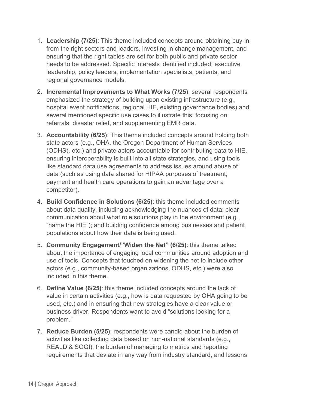- 1. **Leadership (7/25)**: This theme included concepts around obtaining buy-in from the right sectors and leaders, investing in change management, and ensuring that the right tables are set for both public and private sector needs to be addressed. Specific interests identified included: executive leadership, policy leaders, implementation specialists, patients, and regional governance models.
- 2. **Incremental Improvements to What Works (7/25)**: several respondents emphasized the strategy of building upon existing infrastructure (e.g., hospital event notifications, regional HIE, existing governance bodies) and several mentioned specific use cases to illustrate this: focusing on referrals, disaster relief, and supplementing EMR data.
- 3. **Accountability (6/25)**: This theme included concepts around holding both state actors (e.g., OHA, the Oregon Department of Human Services (ODHS), etc.) and private actors accountable for contributing data to HIE, ensuring interoperability is built into all state strategies, and using tools like standard data use agreements to address issues around abuse of data (such as using data shared for HIPAA purposes of treatment, payment and health care operations to gain an advantage over a competitor).
- 4. **Build Confidence in Solutions (6/25)**: this theme included comments about data quality, including acknowledging the nuances of data; clear communication about what role solutions play in the environment (e.g., "name the HIE"); and building confidence among businesses and patient populations about how their data is being used.
- 5. **Community Engagement/"Widen the Net" (6/25)**: this theme talked about the importance of engaging local communities around adoption and use of tools. Concepts that touched on widening the net to include other actors (e.g., community-based organizations, ODHS, etc.) were also included in this theme.
- 6. **Define Value (6/25)**: this theme included concepts around the lack of value in certain activities (e.g., how is data requested by OHA going to be used, etc.) and in ensuring that new strategies have a clear value or business driver. Respondents want to avoid "solutions looking for a problem."
- 7. **Reduce Burden (5/25)**: respondents were candid about the burden of activities like collecting data based on non-national standards (e.g., REALD & SOGI), the burden of managing to metrics and reporting requirements that deviate in any way from industry standard, and lessons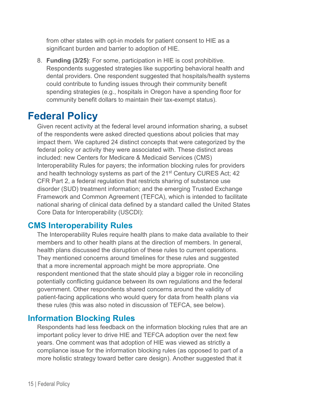from other states with opt-in models for patient consent to HIE as a significant burden and barrier to adoption of HIE.

8. **Funding (3/25)**: For some, participation in HIE is cost prohibitive. Respondents suggested strategies like supporting behavioral health and dental providers. One respondent suggested that hospitals/health systems could contribute to funding issues through their community benefit spending strategies (e.g., hospitals in Oregon have a spending floor for community benefit dollars to maintain their tax-exempt status).

### <span id="page-14-0"></span>**Federal Policy**

Given recent activity at the federal level around information sharing, a subset of the respondents were asked directed questions about policies that may impact them. We captured 24 distinct concepts that were categorized by the federal policy or activity they were associated with. These distinct areas included: new Centers for Medicare & Medicaid Services (CMS) Interoperability Rules for payers; the information blocking rules for providers and health technology systems as part of the 21<sup>st</sup> Century CURES Act; 42 CFR Part 2, a federal regulation that restricts sharing of substance use disorder (SUD) treatment information; and the emerging Trusted Exchange Framework and Common Agreement (TEFCA), which is intended to facilitate national sharing of clinical data defined by a standard called the United States Core Data for Interoperability (USCDI):

#### **CMS Interoperability Rules**

The Interoperability Rules require health plans to make data available to their members and to other health plans at the direction of members. In general, health plans discussed the disruption of these rules to current operations. They mentioned concerns around timelines for these rules and suggested that a more incremental approach might be more appropriate. One respondent mentioned that the state should play a bigger role in reconciling potentially conflicting guidance between its own regulations and the federal government. Other respondents shared concerns around the validity of patient-facing applications who would query for data from health plans via these rules (this was also noted in discussion of TEFCA, see below).

#### **Information Blocking Rules**

Respondents had less feedback on the information blocking rules that are an important policy lever to drive HIE and TEFCA adoption over the next few years. One comment was that adoption of HIE was viewed as strictly a compliance issue for the information blocking rules (as opposed to part of a more holistic strategy toward better care design). Another suggested that it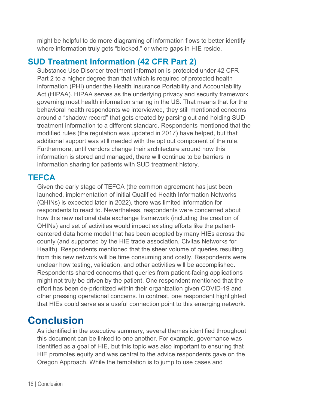might be helpful to do more diagraming of information flows to better identify where information truly gets "blocked," or where gaps in HIE reside.

#### **SUD Treatment Information (42 CFR Part 2)**

Substance Use Disorder treatment information is protected under 42 CFR Part 2 to a higher degree than that which is required of protected health information (PHI) under the Health Insurance Portability and Accountability Act (HIPAA). HIPAA serves as the underlying privacy and security framework governing most health information sharing in the US. That means that for the behavioral health respondents we interviewed, they still mentioned concerns around a "shadow record" that gets created by parsing out and holding SUD treatment information to a different standard. Respondents mentioned that the modified rules (the regulation was updated in 2017) have helped, but that additional support was still needed with the opt out component of the rule. Furthermore, until vendors change their architecture around how this information is stored and managed, there will continue to be barriers in information sharing for patients with SUD treatment history.

#### **TEFCA**

Given the early stage of TEFCA (the common agreement has just been launched, implementation of initial Qualified Health Information Networks (QHINs) is expected later in 2022), there was limited information for respondents to react to. Nevertheless, respondents were concerned about how this new national data exchange framework (including the creation of QHINs) and set of activities would impact existing efforts like the patientcentered data home model that has been adopted by many HIEs across the county (and supported by the HIE trade association, Civitas Networks for Health). Respondents mentioned that the sheer volume of queries resulting from this new network will be time consuming and costly. Respondents were unclear how testing, validation, and other activities will be accomplished. Respondents shared concerns that queries from patient-facing applications might not truly be driven by the patient. One respondent mentioned that the effort has been de-prioritized within their organization given COVID-19 and other pressing operational concerns. In contrast, one respondent highlighted that HIEs could serve as a useful connection point to this emerging network.

### <span id="page-15-0"></span>**Conclusion**

As identified in the executive summary, several themes identified throughout this document can be linked to one another. For example, governance was identified as a goal of HIE, but this topic was also important to ensuring that HIE promotes equity and was central to the advice respondents gave on the Oregon Approach. While the temptation is to jump to use cases and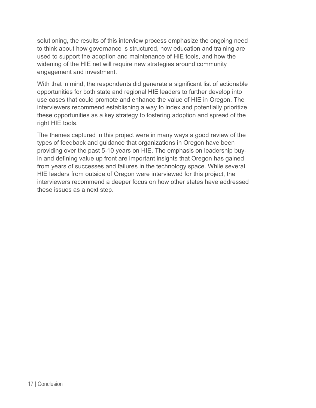solutioning, the results of this interview process emphasize the ongoing need to think about how governance is structured, how education and training are used to support the adoption and maintenance of HIE tools, and how the widening of the HIE net will require new strategies around community engagement and investment.

With that in mind, the respondents did generate a significant list of actionable opportunities for both state and regional HIE leaders to further develop into use cases that could promote and enhance the value of HIE in Oregon. The interviewers recommend establishing a way to index and potentially prioritize these opportunities as a key strategy to fostering adoption and spread of the right HIE tools.

The themes captured in this project were in many ways a good review of the types of feedback and guidance that organizations in Oregon have been providing over the past 5-10 years on HIE. The emphasis on leadership buyin and defining value up front are important insights that Oregon has gained from years of successes and failures in the technology space. While several HIE leaders from outside of Oregon were interviewed for this project, the interviewers recommend a deeper focus on how other states have addressed these issues as a next step.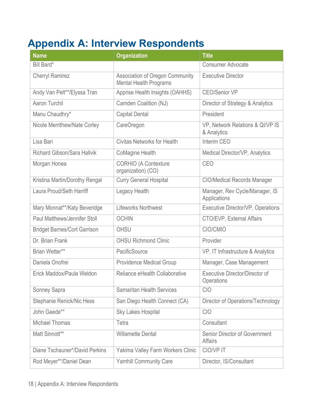# <span id="page-17-0"></span>**Appendix A: Interview Respondents**

| <b>Name</b>                         | <b>Organization</b>                                              | <b>Title</b>                                               |
|-------------------------------------|------------------------------------------------------------------|------------------------------------------------------------|
| Bill Bard*                          |                                                                  | <b>Consumer Advocate</b>                                   |
| <b>Cherryl Ramirez</b>              | Association of Oregon Community<br><b>Mental Health Programs</b> | <b>Executive Director</b>                                  |
| Andy Van Pelt**/Elyssa Tran         | Apprise Health Insights (OAHHS)                                  | <b>CEO/Senior VP</b>                                       |
| Aaron Turchil                       | Camden Coalition (NJ)                                            | Director of Strategy & Analytics                           |
| Manu Chaudhry*                      | <b>Capital Dental</b>                                            | President                                                  |
| Nicole Merrithew/Nate Corley        | CareOregon                                                       | VP, Network Relations & QI/VP IS<br>& Analytics            |
| Lisa Bari                           | <b>Civitas Networks for Health</b>                               | Interim CEO                                                |
| Richard Gibson/Sara Hallvik         | <b>CoMagine Health</b>                                           | Medical Director/VP, Analytics                             |
| Morgan Honea                        | <b>CORHIO (A Contexture</b><br>organization) (CO)                | CEO                                                        |
| Kristina Martin/Dorothy Rengal      | <b>Curry General Hospital</b>                                    | <b>CIO/Medical Records Manager</b>                         |
| Laura Proud/Seth Harriff            | Legacy Health                                                    | Manager, Rev Cycle/Manager, IS<br>Applications             |
| Mary Monnat**/Katy Beveridge        | <b>Lifeworks Northwest</b>                                       | Executive Director/VP, Operations                          |
| Paul Matthews/Jennifer Stoll        | <b>OCHIN</b>                                                     | CTO/EVP, External Affairs                                  |
| <b>Bridget Barnes/Cort Garrison</b> | OHSU                                                             | CIO/CMIO                                                   |
| Dr. Brian Frank                     | <b>OHSU Richmond Clinic</b>                                      | Provider                                                   |
| Brian Wetter**                      | PacificSource                                                    | VP, IT Infrastructure & Analytics                          |
| Daniela Onofrei                     | <b>Providence Medical Group</b>                                  | Manager, Case Management                                   |
| Erick Maddox/Paula Weldon           | Reliance eHealth Collaborative                                   | <b>Executive Director/Director of</b><br><b>Operations</b> |
| Sonney Sapra                        | <b>Samaritan Health Services</b>                                 | <b>CIO</b>                                                 |
| Stephanie Renick/Nic Hess           | San Diego Health Connect (CA)                                    | Director of Operations/Technology                          |
| John Gaede**                        | <b>Sky Lakes Hospital</b>                                        | <b>CIO</b>                                                 |
| <b>Michael Thomas</b>               | Tetra                                                            | Consultant                                                 |
| Matt Sinnott**                      | <b>Willamette Dental</b>                                         | <b>Senior Director of Government</b><br><b>Affairs</b>     |
| Diane Tschauner*/David Perkins      | Yakima Valley Farm Workers Clinic                                | <b>CIO/VPIT</b>                                            |
| Rod Meyer**/Daniel Dean             | <b>Yamhill Community Care</b>                                    | Director, IS/Consultant                                    |